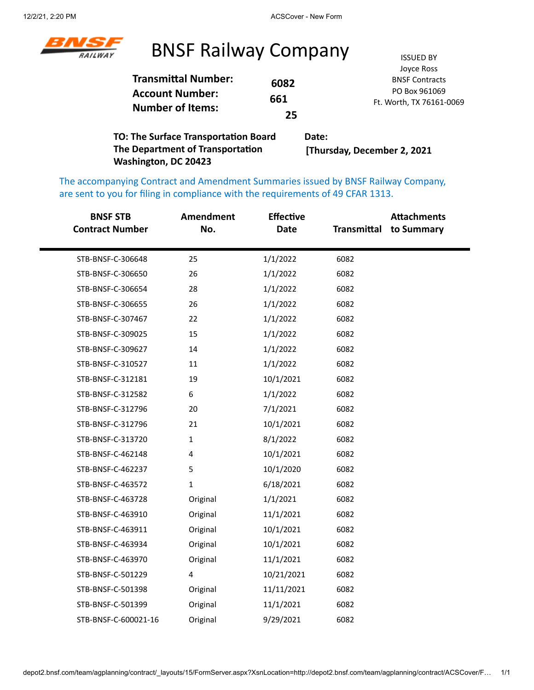

#### BNSF Railway Company **ISSUED BY**

| <b>Transmittal Number:</b><br>6082<br><b>Account Number:</b><br>661<br><b>Number of Items:</b><br>25 | Joyce Ross<br><b>BNSF Contracts</b><br>PO Box 961069<br>Ft. Worth, TX 76161-0069 |
|------------------------------------------------------------------------------------------------------|----------------------------------------------------------------------------------|
|------------------------------------------------------------------------------------------------------|----------------------------------------------------------------------------------|

**TO: The Surface Transportation Board The Department of Transportation Washington, DC 20423 Date: [Thursday, December 2, 2021**

The accompanying Contract and Amendment Summaries issued by BNSF Railway Company, are sent to you for filing in compliance with the requirements of 49 CFAR 1313.

| <b>BNSF STB</b><br><b>Contract Number</b> | <b>Amendment</b><br>No. | <b>Effective</b><br><b>Date</b> | Transmittal | <b>Attachments</b><br>to Summary |
|-------------------------------------------|-------------------------|---------------------------------|-------------|----------------------------------|
| STB-BNSF-C-306648                         | 25                      | 1/1/2022                        | 6082        |                                  |
| STB-BNSF-C-306650                         | 26                      | 1/1/2022                        | 6082        |                                  |
| STB-BNSF-C-306654                         | 28                      | 1/1/2022                        | 6082        |                                  |
| STB-BNSF-C-306655                         | 26                      | 1/1/2022                        | 6082        |                                  |
| STB-BNSF-C-307467                         | 22                      | 1/1/2022                        | 6082        |                                  |
| STB-BNSF-C-309025                         | 15                      | 1/1/2022                        | 6082        |                                  |
| STB-BNSF-C-309627                         | 14                      | 1/1/2022                        | 6082        |                                  |
| STB-BNSF-C-310527                         | 11                      | 1/1/2022                        | 6082        |                                  |
| STB-BNSF-C-312181                         | 19                      | 10/1/2021                       | 6082        |                                  |
| STB-BNSF-C-312582                         | 6                       | 1/1/2022                        | 6082        |                                  |
| STB-BNSF-C-312796                         | 20                      | 7/1/2021                        | 6082        |                                  |
| STB-BNSF-C-312796                         | 21                      | 10/1/2021                       | 6082        |                                  |
| STB-BNSF-C-313720                         | $\mathbf 1$             | 8/1/2022                        | 6082        |                                  |
| STB-BNSF-C-462148                         | 4                       | 10/1/2021                       | 6082        |                                  |
| STB-BNSF-C-462237                         | 5                       | 10/1/2020                       | 6082        |                                  |
| STB-BNSF-C-463572                         | 1                       | 6/18/2021                       | 6082        |                                  |
| STB-BNSF-C-463728                         | Original                | 1/1/2021                        | 6082        |                                  |
| STB-BNSF-C-463910                         | Original                | 11/1/2021                       | 6082        |                                  |
| STB-BNSF-C-463911                         | Original                | 10/1/2021                       | 6082        |                                  |
| STB-BNSF-C-463934                         | Original                | 10/1/2021                       | 6082        |                                  |
| STB-BNSF-C-463970                         | Original                | 11/1/2021                       | 6082        |                                  |
| STB-BNSF-C-501229                         | $\overline{\mathbf{4}}$ | 10/21/2021                      | 6082        |                                  |
| STB-BNSF-C-501398                         | Original                | 11/11/2021                      | 6082        |                                  |
| STB-BNSF-C-501399                         | Original                | 11/1/2021                       | 6082        |                                  |
| STB-BNSF-C-600021-16                      | Original                | 9/29/2021                       | 6082        |                                  |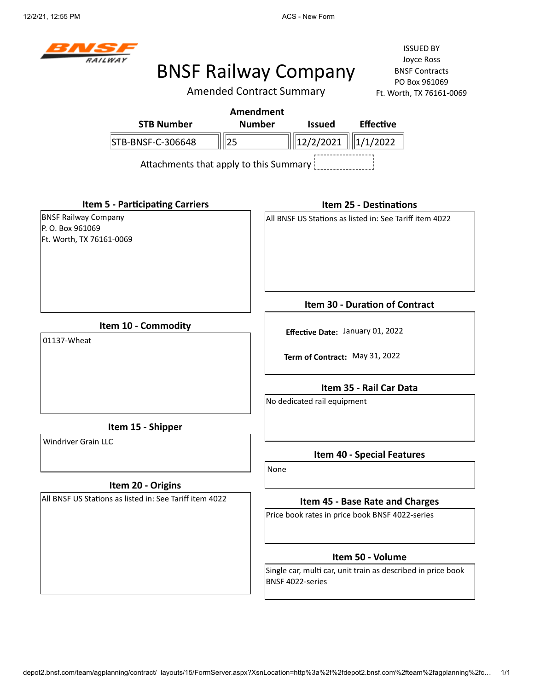

Amended Contract Summary

ISSUED BY Joyce Ross BNSF Contracts PO Box 961069 Ft. Worth, TX 76161-0069

|                                                                             | AITICHUCU CUITTIACL JUITIITIAI Y       |                  |  |                                                         |                                | FL. WORTH, IX / 6161-L |
|-----------------------------------------------------------------------------|----------------------------------------|------------------|--|---------------------------------------------------------|--------------------------------|------------------------|
|                                                                             |                                        | <b>Amendment</b> |  |                                                         |                                |                        |
|                                                                             | <b>STB Number</b>                      | <b>Number</b>    |  | <b>Issued</b>                                           | <b>Effective</b>               |                        |
|                                                                             | STB-BNSF-C-306648                      | 25               |  | 12/2/2021                                               | 1/1/2022                       |                        |
|                                                                             | Attachments that apply to this Summary |                  |  |                                                         |                                |                        |
|                                                                             | <b>Item 5 - Participating Carriers</b> |                  |  |                                                         | <b>Item 25 - Destinations</b>  |                        |
| <b>BNSF Railway Company</b><br>P. O. Box 961069<br>Ft. Worth, TX 76161-0069 |                                        |                  |  | All BNSF US Stations as listed in: See Tariff item 4022 |                                |                        |
|                                                                             |                                        |                  |  |                                                         | Item 30 - Duration of Contract |                        |
| 01137-Wheat                                                                 | Item 10 - Commodity                    |                  |  | Effective Date: January 01, 2022                        |                                |                        |
|                                                                             |                                        |                  |  | Term of Contract: May 31, 2022                          |                                |                        |
|                                                                             |                                        |                  |  |                                                         | Item 35 - Rail Car Data        |                        |
|                                                                             |                                        |                  |  | No dedicated rail equipment                             |                                |                        |
|                                                                             | Item 15 - Shipper                      |                  |  |                                                         |                                |                        |

Windriver Grain LLC

#### **Item 20 - Origins**

All BNSF US Stations as listed in: See Tariff item 4022

**Item 40 - Special Features**

None

#### **Item 45 - Base Rate and Charges**

Price book rates in price book BNSF 4022-series

#### **Item 50 - Volume**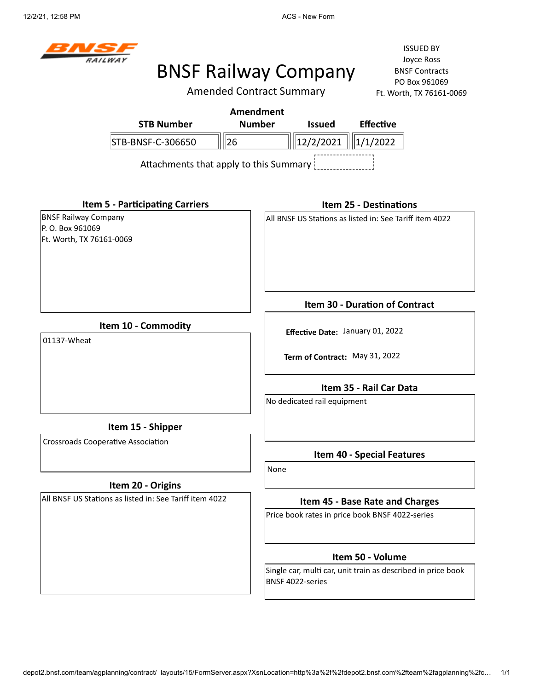

Amended Contract Summary

ISSUED BY Joyce Ross BNSF Contracts PO Box 961069 Ft. Worth, TX 76161-0069

|                             |                                        | <b>Amendment</b> |                                |                                                         |  |
|-----------------------------|----------------------------------------|------------------|--------------------------------|---------------------------------------------------------|--|
|                             | <b>STB Number</b>                      | <b>Number</b>    | <b>Issued</b>                  | <b>Effective</b>                                        |  |
|                             | STB-BNSF-C-306650                      | $\ 26$           | 12/2/2021                      | 1/1/2022                                                |  |
|                             | Attachments that apply to this Summary |                  |                                |                                                         |  |
|                             | <b>Item 5 - Participating Carriers</b> |                  |                                | <b>Item 25 - Destinations</b>                           |  |
| <b>BNSF Railway Company</b> |                                        |                  |                                | All BNSF US Stations as listed in: See Tariff item 4022 |  |
| P.O. Box 961069             |                                        |                  |                                |                                                         |  |
| Ft. Worth, TX 76161-0069    |                                        |                  |                                |                                                         |  |
|                             |                                        |                  |                                | <b>Item 30 - Duration of Contract</b>                   |  |
| 01137-Wheat                 | Item 10 - Commodity                    |                  |                                | Effective Date: January 01, 2022                        |  |
|                             |                                        |                  | Term of Contract: May 31, 2022 |                                                         |  |

**Item 35 - Rail Car Data**

No dedicated rail equipment

**Item 15 - Shipper**

Crossroads Cooperative Association

#### **Item 20 - Origins**

All BNSF US Stations as listed in: See Tariff item 4022

**Item 40 - Special Features**

None

#### **Item 45 - Base Rate and Charges**

Price book rates in price book BNSF 4022-series

#### **Item 50 - Volume**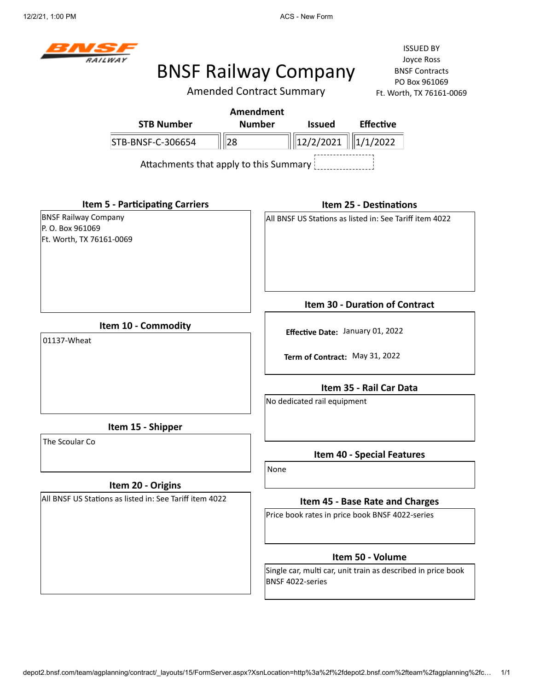

Amended Contract Summary

|                                                         | <b>Amendment</b>                                                                 |  |  |  |
|---------------------------------------------------------|----------------------------------------------------------------------------------|--|--|--|
| <b>STB Number</b>                                       | <b>Number</b><br><b>Issued</b><br><b>Effective</b>                               |  |  |  |
| STB-BNSF-C-306654                                       | 28<br>12/2/2021<br>1/1/2022                                                      |  |  |  |
|                                                         | Attachments that apply to this Summary                                           |  |  |  |
| <b>Item 5 - Participating Carriers</b>                  | <b>Item 25 - Destinations</b>                                                    |  |  |  |
| <b>BNSF Railway Company</b>                             | All BNSF US Stations as listed in: See Tariff item 4022                          |  |  |  |
| P.O. Box 961069<br>Ft. Worth, TX 76161-0069             |                                                                                  |  |  |  |
|                                                         | Item 30 - Duration of Contract                                                   |  |  |  |
| Item 10 - Commodity                                     | Effective Date: January 01, 2022                                                 |  |  |  |
| 01137-Wheat                                             |                                                                                  |  |  |  |
|                                                         | Term of Contract: May 31, 2022                                                   |  |  |  |
|                                                         | Item 35 - Rail Car Data                                                          |  |  |  |
|                                                         | No dedicated rail equipment                                                      |  |  |  |
| Item 15 - Shipper                                       |                                                                                  |  |  |  |
| The Scoular Co                                          | <b>Item 40 - Special Features</b>                                                |  |  |  |
|                                                         | None                                                                             |  |  |  |
| Item 20 - Origins                                       |                                                                                  |  |  |  |
| All BNSF US Stations as listed in: See Tariff item 4022 | Item 45 - Base Rate and Charges                                                  |  |  |  |
|                                                         | Price book rates in price book BNSF 4022-series                                  |  |  |  |
|                                                         | Item 50 - Volume                                                                 |  |  |  |
|                                                         | Single car, multi car, unit train as described in price book<br>BNSF 4022-series |  |  |  |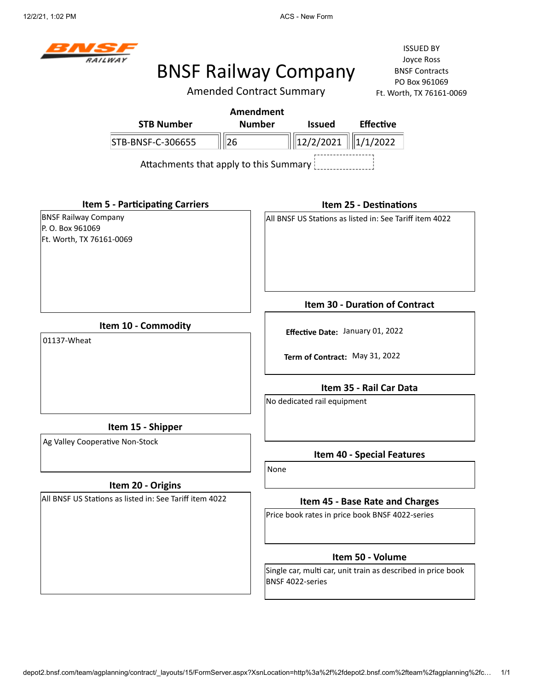

Amended Contract Summary

ISSUED BY Joyce Ross BNSF Contracts PO Box 961069 Ft. Worth, TX 76161-0069

| <b>STB Number</b>                      | <b>Number</b> | <b>Issued</b>                | <b>Effective</b> |  |  |
|----------------------------------------|---------------|------------------------------|------------------|--|--|
| STB-BNSF-C-306655                      | 26            | $\ $   12/2/2021    1/1/2022 |                  |  |  |
| Attachments that apply to this Summary |               |                              |                  |  |  |

**Item 5 - Participating Carriers** BNSF Railway Company

P. O. Box 961069 Ft. Worth, TX 76161-0069

#### **Item 25 - Destinations**

All BNSF US Stations as listed in: See Tariff item 4022

**Item 10 - Commodity**

01137-Wheat

**Term of Contract:** May 31, 2022

**Effective Date:** January 01, 2022

**Item 35 - Rail Car Data**

**Item 30 - Duration of Contract**

No dedicated rail equipment

**Item 15 - Shipper**

Ag Valley Cooperative Non-Stock

#### **Item 20 - Origins**

All BNSF US Stations as listed in: See Tariff item 4022

**Item 40 - Special Features**

None

#### **Item 45 - Base Rate and Charges**

Price book rates in price book BNSF 4022-series

#### **Item 50 - Volume**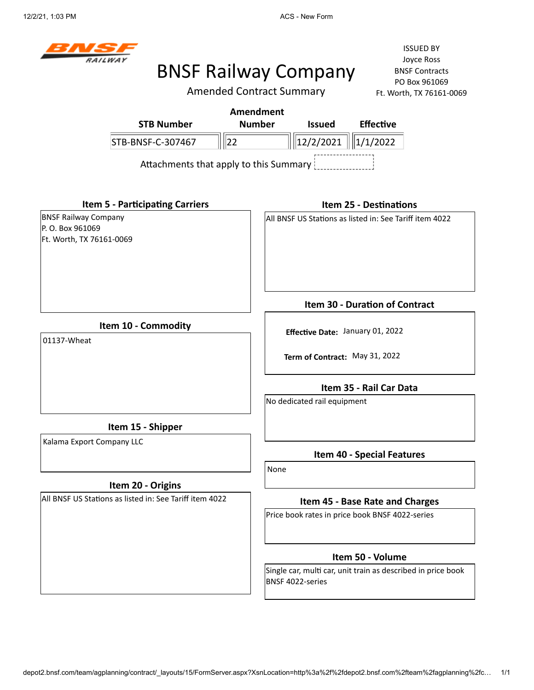

Amended Contract Summary

ISSUED BY Joyce Ross BNSF Contracts PO Box 961069 Ft. Worth, TX 76161-0069

|                                                                             |                                        |    | Amendment     |               |                                                         |  |
|-----------------------------------------------------------------------------|----------------------------------------|----|---------------|---------------|---------------------------------------------------------|--|
|                                                                             | <b>STB Number</b>                      |    | <b>Number</b> | <b>Issued</b> | <b>Effective</b>                                        |  |
|                                                                             | STB-BNSF-C-307467                      | 22 |               | 12/2/2021     | $\ 1/1/2022$                                            |  |
|                                                                             | Attachments that apply to this Summary |    |               |               |                                                         |  |
|                                                                             | <b>Item 5 - Participating Carriers</b> |    |               |               | <b>Item 25 - Destinations</b>                           |  |
| <b>BNSF Railway Company</b><br>P. O. Box 961069<br>Ft. Worth, TX 76161-0069 |                                        |    |               |               | All BNSF US Stations as listed in: See Tariff item 4022 |  |
|                                                                             |                                        |    |               |               | <b>Item 30 - Duration of Contract</b>                   |  |
|                                                                             |                                        |    |               |               |                                                         |  |

**Item 10 - Commodity**

01137-Wheat

**Item 15 - Shipper**

Kalama Export Company LLC

#### **Item 20 - Origins**

All BNSF US Stations as listed in: See Tariff item 4022

**Effective Date:** January 01, 2022

**Term of Contract:** May 31, 2022

**Item 35 - Rail Car Data**

No dedicated rail equipment

**Item 40 - Special Features**

None

#### **Item 45 - Base Rate and Charges**

Price book rates in price book BNSF 4022-series

#### **Item 50 - Volume**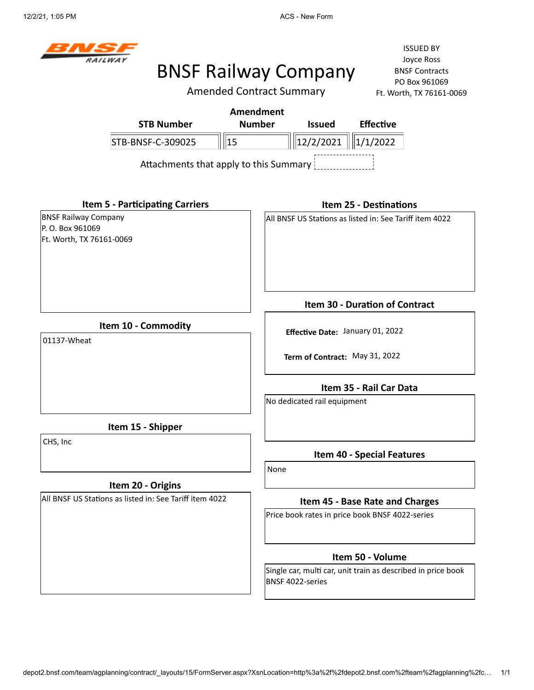

# BNSF Railway Company

Amended Contract Summary

|                                                                             | $1.5.101$ to $1.11$ , $1.11$ , $1.01$ and $1.00$ and $1.00$ and $1.00$ and $1.00$ and $1.00$ and $1.00$ and $1.00$ and $1.00$ and $1.00$ and $1.00$ and $1.00$ and $1.00$ and $1.00$ and $1.00$ and $1.00$ and $1.00$ and $1.00$ |
|-----------------------------------------------------------------------------|----------------------------------------------------------------------------------------------------------------------------------------------------------------------------------------------------------------------------------|
|                                                                             | <b>Amendment</b>                                                                                                                                                                                                                 |
| <b>STB Number</b>                                                           | <b>Number</b><br><b>Issued</b><br><b>Effective</b>                                                                                                                                                                               |
| $\parallel$ 15<br>STB-BNSF-C-309025                                         | $\parallel$ 12/2/2021<br>1/1/2022                                                                                                                                                                                                |
| Attachments that apply to this Summary                                      |                                                                                                                                                                                                                                  |
| <b>Item 5 - Participating Carriers</b>                                      | <b>Item 25 - Destinations</b>                                                                                                                                                                                                    |
| <b>BNSF Railway Company</b><br>P. O. Box 961069<br>Ft. Worth, TX 76161-0069 | All BNSF US Stations as listed in: See Tariff item 4022                                                                                                                                                                          |
|                                                                             | <b>Item 30 - Duration of Contract</b>                                                                                                                                                                                            |
| Item 10 - Commodity                                                         | Effective Date: January 01, 2022                                                                                                                                                                                                 |
| 01137-Wheat                                                                 |                                                                                                                                                                                                                                  |
|                                                                             | Term of Contract: May 31, 2022                                                                                                                                                                                                   |
|                                                                             | Item 35 - Rail Car Data                                                                                                                                                                                                          |
|                                                                             | No dedicated rail equipment                                                                                                                                                                                                      |
| Item 15 - Shipper                                                           |                                                                                                                                                                                                                                  |
| CHS, Inc                                                                    | <b>Item 40 - Special Features</b>                                                                                                                                                                                                |
|                                                                             | None                                                                                                                                                                                                                             |
| Item 20 - Origins                                                           |                                                                                                                                                                                                                                  |
| All BNSF US Stations as listed in: See Tariff item 4022                     | Item 45 - Base Rate and Charges                                                                                                                                                                                                  |
|                                                                             | Price book rates in price book BNSF 4022-series                                                                                                                                                                                  |
|                                                                             | Item 50 - Volume                                                                                                                                                                                                                 |
|                                                                             | Single car, multi car, unit train as described in price book<br>BNSF 4022-series                                                                                                                                                 |
|                                                                             |                                                                                                                                                                                                                                  |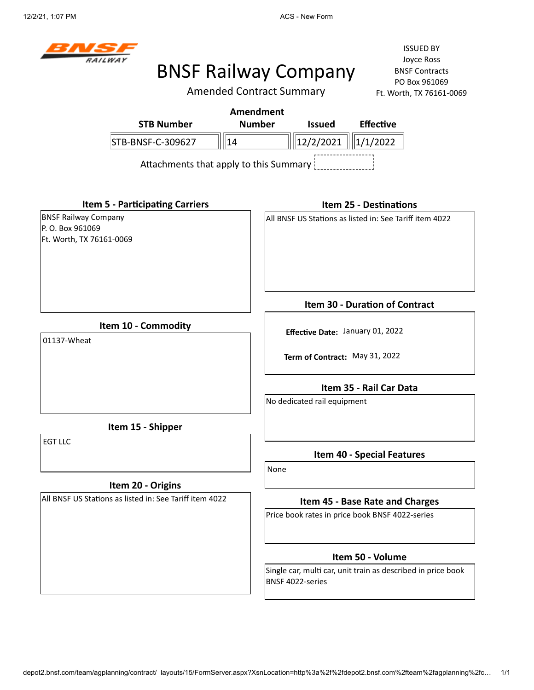

Amended Contract Summary

|                                                                            | <b>Amendment</b>                       |                                                                    |                                                              |
|----------------------------------------------------------------------------|----------------------------------------|--------------------------------------------------------------------|--------------------------------------------------------------|
| <b>STB Number</b>                                                          | <b>Number</b>                          | <b>Issued</b>                                                      | <b>Effective</b>                                             |
| STB-BNSF-C-309627                                                          | 14                                     | 12/2/2021                                                          | 1/1/2022                                                     |
|                                                                            | Attachments that apply to this Summary |                                                                    |                                                              |
| <b>Item 5 - Participating Carriers</b>                                     |                                        |                                                                    | <b>Item 25 - Destinations</b>                                |
| <b>BNSF Railway Company</b><br>P.O. Box 961069<br>Ft. Worth, TX 76161-0069 |                                        |                                                                    | All BNSF US Stations as listed in: See Tariff item 4022      |
|                                                                            |                                        |                                                                    | Item 30 - Duration of Contract                               |
| Item 10 - Commodity<br>01137-Wheat                                         |                                        | Effective Date: January 01, 2022<br>Term of Contract: May 31, 2022 |                                                              |
|                                                                            |                                        | No dedicated rail equipment                                        | Item 35 - Rail Car Data                                      |
| Item 15 - Shipper                                                          |                                        |                                                                    |                                                              |
| <b>EGT LLC</b>                                                             |                                        |                                                                    | <b>Item 40 - Special Features</b>                            |
| Item 20 - Origins                                                          | None                                   |                                                                    |                                                              |
| All BNSF US Stations as listed in: See Tariff item 4022                    |                                        |                                                                    | Item 45 - Base Rate and Charges                              |
|                                                                            |                                        |                                                                    | Price book rates in price book BNSF 4022-series              |
|                                                                            |                                        |                                                                    | Item 50 - Volume                                             |
|                                                                            |                                        | BNSF 4022-series                                                   | Single car, multi car, unit train as described in price book |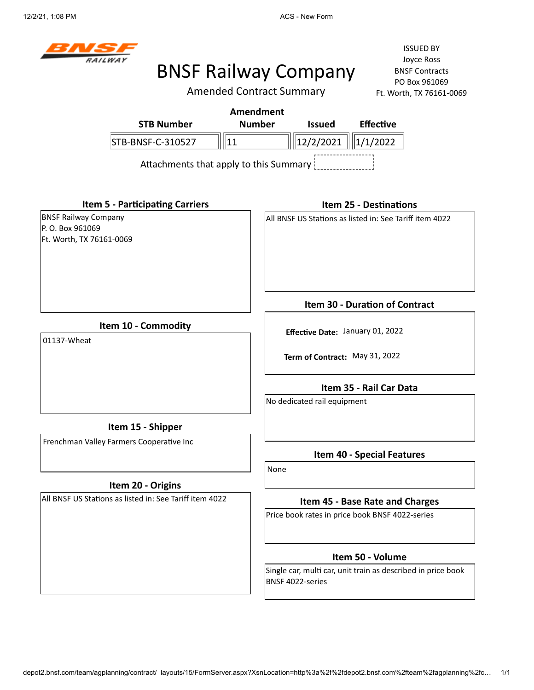

Amended Contract Summary

ISSUED BY Joyce Ross BNSF Contracts PO Box 961069 Ft. Worth, TX 76161-0069

| Amendment         |                                        |                                    |                  |  |  |
|-------------------|----------------------------------------|------------------------------------|------------------|--|--|
| <b>STB Number</b> | <b>Number</b>                          | <b>Issued</b>                      | <b>Effective</b> |  |  |
| STB-BNSF-C-310527 |                                        | $\  \ $ 12/2/2021 $\  \ $ 1/1/2022 |                  |  |  |
|                   | Attachments that apply to this Summary |                                    |                  |  |  |
|                   |                                        |                                    |                  |  |  |

**Item 5 - Participating Carriers**

BNSF Railway Company P. O. Box 961069 Ft. Worth, TX 76161-0069

#### **Item 25 - Destinations**

All BNSF US Stations as listed in: See Tariff item 4022

**Item 10 - Commodity**

01137-Wheat

**Term of Contract:** May 31, 2022

**Effective Date:** January 01, 2022

**Item 35 - Rail Car Data**

**Item 30 - Duration of Contract**

No dedicated rail equipment

**Item 15 - Shipper**

Frenchman Valley Farmers Cooperative Inc

#### **Item 20 - Origins**

All BNSF US Stations as listed in: See Tariff item 4022

**Item 40 - Special Features**

None

#### **Item 45 - Base Rate and Charges**

Price book rates in price book BNSF 4022-series

#### **Item 50 - Volume**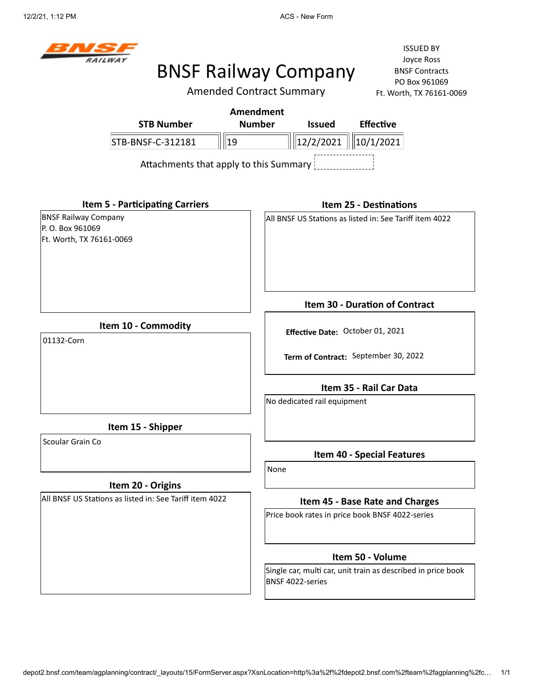

# BNSF Railway Company

Amended Contract Summary

ISSUED BY Joyce Ross BNSF Contracts PO Box 961069 Ft. Worth, TX 76161-0069

|                                                                             | THE HUGH CONTRIGUE SUITHING T |                                  | $1.1.$ WV $1.11$ , $1.0.701$ $1.0003$                        |
|-----------------------------------------------------------------------------|-------------------------------|----------------------------------|--------------------------------------------------------------|
|                                                                             | <b>Amendment</b>              |                                  |                                                              |
| <b>STB Number</b>                                                           | <b>Number</b>                 | <b>Issued</b>                    | <b>Effective</b>                                             |
| STB-BNSF-C-312181                                                           | 19                            | 12/2/2021                        | 10/1/2021                                                    |
| Attachments that apply to this Summary                                      |                               |                                  |                                                              |
| <b>Item 5 - Participating Carriers</b>                                      |                               |                                  | <b>Item 25 - Destinations</b>                                |
| <b>BNSF Railway Company</b><br>P. O. Box 961069<br>Ft. Worth, TX 76161-0069 |                               |                                  | All BNSF US Stations as listed in: See Tariff item 4022      |
|                                                                             |                               |                                  | Item 30 - Duration of Contract                               |
| Item 10 - Commodity                                                         |                               |                                  |                                                              |
| 01132-Corn                                                                  |                               | Effective Date: October 01, 2021 |                                                              |
|                                                                             |                               |                                  | Term of Contract: September 30, 2022                         |
|                                                                             |                               |                                  | Item 35 - Rail Car Data                                      |
|                                                                             |                               | No dedicated rail equipment      |                                                              |
| Item 15 - Shipper                                                           |                               |                                  |                                                              |
| Scoular Grain Co                                                            |                               |                                  | <b>Item 40 - Special Features</b>                            |
|                                                                             | None                          |                                  |                                                              |
| Item 20 - Origins                                                           |                               |                                  |                                                              |
| All BNSF US Stations as listed in: See Tariff item 4022                     |                               |                                  | Item 45 - Base Rate and Charges                              |
|                                                                             |                               |                                  | Price book rates in price book BNSF 4022-series              |
|                                                                             |                               |                                  | Item 50 - Volume                                             |
|                                                                             |                               | BNSF 4022-series                 | Single car, multi car, unit train as described in price book |

depot2.bnsf.com/team/agplanning/contract/\_layouts/15/FormServer.aspx?XsnLocation=http%3a%2f%2fdepot2.bnsf.com%2fteam%2fagplanning%2fc… 1/1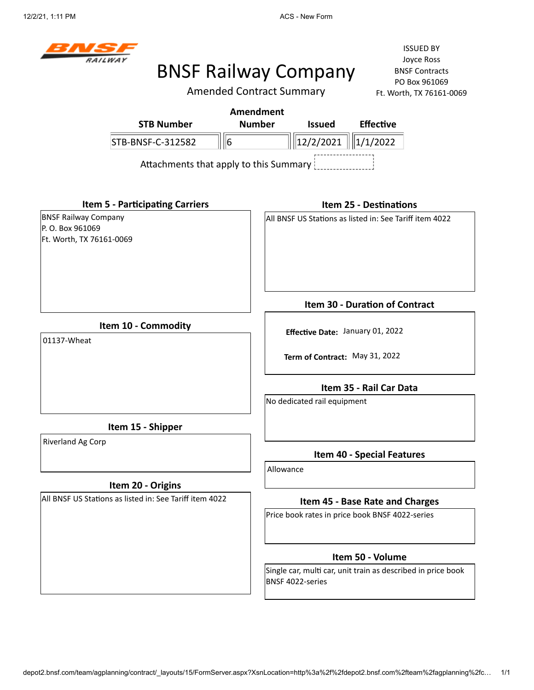

# BNSF Railway Company

Amended Contract Summary

|                                                                            | <b>Amendment</b>                                                                 |
|----------------------------------------------------------------------------|----------------------------------------------------------------------------------|
| <b>STB Number</b>                                                          | <b>Number</b><br><b>Issued</b><br><b>Effective</b>                               |
| STB-BNSF-C-312582                                                          | 6<br> 12/2/2021 <br>1/1/2022                                                     |
|                                                                            | Attachments that apply to this Summary                                           |
| <b>Item 5 - Participating Carriers</b>                                     | <b>Item 25 - Destinations</b>                                                    |
| <b>BNSF Railway Company</b><br>P.O. Box 961069<br>Ft. Worth, TX 76161-0069 | All BNSF US Stations as listed in: See Tariff item 4022                          |
|                                                                            | Item 30 - Duration of Contract                                                   |
| Item 10 - Commodity<br>01137-Wheat                                         | Effective Date: January 01, 2022<br>Term of Contract: May 31, 2022               |
|                                                                            | Item 35 - Rail Car Data<br>No dedicated rail equipment                           |
| Item 15 - Shipper                                                          |                                                                                  |
| Riverland Ag Corp                                                          | <b>Item 40 - Special Features</b>                                                |
| Item 20 - Origins                                                          | Allowance                                                                        |
| All BNSF US Stations as listed in: See Tariff item 4022                    | Item 45 - Base Rate and Charges                                                  |
|                                                                            | Price book rates in price book BNSF 4022-series                                  |
|                                                                            | Item 50 - Volume                                                                 |
|                                                                            | Single car, multi car, unit train as described in price book<br>BNSF 4022-series |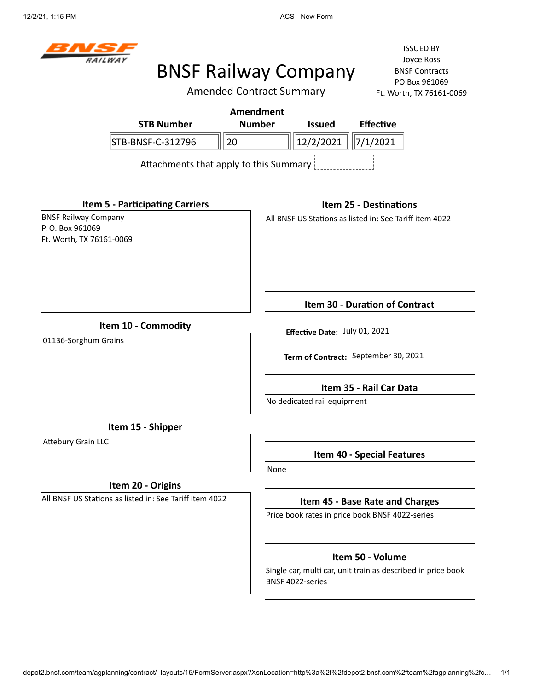

# BNSF Railway Company

Amended Contract Summary

ISSUED BY Joyce Ross BNSF Contracts PO Box 961069  $-0069$ 

|                                                                             | <b>Amended Contract Summary</b>                                                  | Ft. Worth, TX 76161-0069          |
|-----------------------------------------------------------------------------|----------------------------------------------------------------------------------|-----------------------------------|
|                                                                             | <b>Amendment</b>                                                                 |                                   |
| <b>STB Number</b>                                                           | <b>Number</b><br><b>Issued</b>                                                   | <b>Effective</b>                  |
| 20<br>STB-BNSF-C-312796                                                     | 12/2/2021                                                                        | 7/1/2021                          |
| Attachments that apply to this Summary                                      |                                                                                  |                                   |
| <b>Item 5 - Participating Carriers</b>                                      |                                                                                  | <b>Item 25 - Destinations</b>     |
| <b>BNSF Railway Company</b><br>P. O. Box 961069<br>Ft. Worth, TX 76161-0069 | All BNSF US Stations as listed in: See Tariff item 4022                          |                                   |
|                                                                             |                                                                                  | Item 30 - Duration of Contract    |
| Item 10 - Commodity<br>01136-Sorghum Grains                                 | Effective Date: July 01, 2021                                                    |                                   |
|                                                                             | Term of Contract: September 30, 2021                                             |                                   |
|                                                                             |                                                                                  | Item 35 - Rail Car Data           |
|                                                                             | No dedicated rail equipment                                                      |                                   |
| Item 15 - Shipper                                                           |                                                                                  |                                   |
| <b>Attebury Grain LLC</b>                                                   | None                                                                             | <b>Item 40 - Special Features</b> |
| Item 20 - Origins                                                           |                                                                                  |                                   |
| All BNSF US Stations as listed in: See Tariff item 4022                     |                                                                                  | Item 45 - Base Rate and Charges   |
|                                                                             | Price book rates in price book BNSF 4022-series                                  |                                   |
|                                                                             |                                                                                  | Item 50 - Volume                  |
|                                                                             | Single car, multi car, unit train as described in price book<br>BNSF 4022-series |                                   |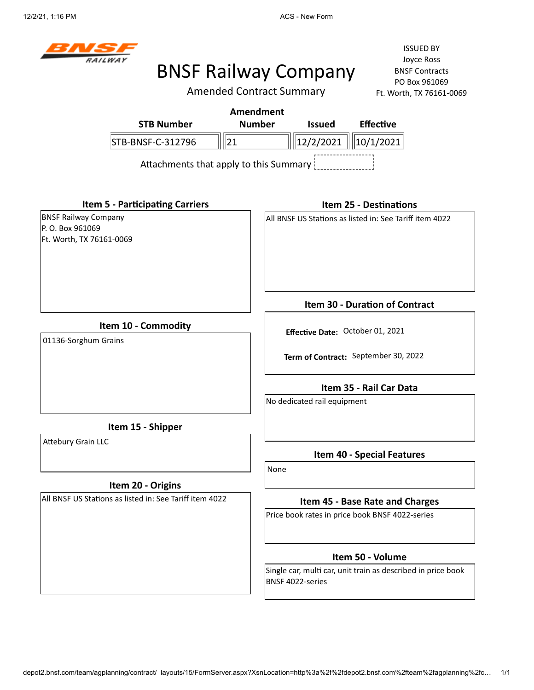

Amended Contract Summary

ISSUED BY Joyce Ross BNSF Contracts PO Box 961069 Ft. Worth, TX 76161-0069

|                                                                             |                                        | AITICHUCU CUITUACI JUITIITIAI Y |                             |                                                         | Ft. WORTH, IX /6161-U |
|-----------------------------------------------------------------------------|----------------------------------------|---------------------------------|-----------------------------|---------------------------------------------------------|-----------------------|
|                                                                             |                                        | <b>Amendment</b>                |                             |                                                         |                       |
|                                                                             | <b>STB Number</b>                      | <b>Number</b>                   | <b>Issued</b>               | <b>Effective</b>                                        |                       |
|                                                                             | STB-BNSF-C-312796                      | 21                              | 12/2/2021                   | 10/1/2021                                               |                       |
|                                                                             | Attachments that apply to this Summary |                                 |                             |                                                         |                       |
|                                                                             | <b>Item 5 - Participating Carriers</b> |                                 |                             | <b>Item 25 - Destinations</b>                           |                       |
| <b>BNSF Railway Company</b><br>P. O. Box 961069<br>Ft. Worth, TX 76161-0069 |                                        |                                 |                             | All BNSF US Stations as listed in: See Tariff item 4022 |                       |
|                                                                             |                                        |                                 |                             |                                                         |                       |
|                                                                             |                                        |                                 |                             |                                                         |                       |
|                                                                             |                                        |                                 |                             | Item 30 - Duration of Contract                          |                       |
| 01136-Sorghum Grains                                                        | Item 10 - Commodity                    |                                 |                             | Effective Date: October 01, 2021                        |                       |
|                                                                             |                                        |                                 |                             | Term of Contract: September 30, 2022                    |                       |
|                                                                             |                                        |                                 |                             | Item 35 - Rail Car Data                                 |                       |
|                                                                             |                                        |                                 | No dedicated rail equipment |                                                         |                       |
|                                                                             | Item 15 - Shipper                      |                                 |                             |                                                         |                       |

Attebury Grain LLC

#### **Item 20 - Origins**

All BNSF US Stations as listed in: See Tariff item 4022

**Item 40 - Special Features**

None

#### **Item 45 - Base Rate and Charges**

Price book rates in price book BNSF 4022-series

#### **Item 50 - Volume**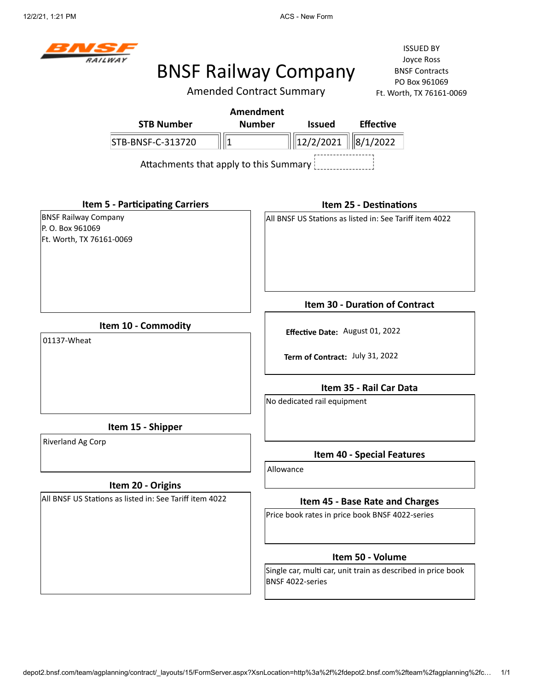

# BNSF Railway Company

Amended Contract Summary

|                                                                            | AITICHUCU CUITTIACL JUITIITIAI Y<br>LE MOLITI, IV \DTDT-0002                     |
|----------------------------------------------------------------------------|----------------------------------------------------------------------------------|
| <b>STB Number</b>                                                          | Amendment<br><b>Number</b><br><b>Effective</b><br><b>Issued</b>                  |
| STB-BNSF-C-313720<br>  1                                                   | 8/1/2022<br> 12/2/2021                                                           |
| Attachments that apply to this Summary                                     |                                                                                  |
| <b>Item 5 - Participating Carriers</b>                                     | <b>Item 25 - Destinations</b>                                                    |
| <b>BNSF Railway Company</b><br>P.O. Box 961069<br>Ft. Worth, TX 76161-0069 | All BNSF US Stations as listed in: See Tariff item 4022                          |
|                                                                            | Item 30 - Duration of Contract                                                   |
| Item 10 - Commodity<br>01137-Wheat                                         | Effective Date: August 01, 2022                                                  |
|                                                                            | Term of Contract: July 31, 2022                                                  |
|                                                                            | Item 35 - Rail Car Data                                                          |
|                                                                            | No dedicated rail equipment                                                      |
| Item 15 - Shipper                                                          |                                                                                  |
| Riverland Ag Corp                                                          | <b>Item 40 - Special Features</b>                                                |
|                                                                            | Allowance                                                                        |
| Item 20 - Origins                                                          |                                                                                  |
| All BNSF US Stations as listed in: See Tariff item 4022                    | Item 45 - Base Rate and Charges                                                  |
|                                                                            | Price book rates in price book BNSF 4022-series                                  |
|                                                                            | Item 50 - Volume                                                                 |
|                                                                            | Single car, multi car, unit train as described in price book<br>BNSF 4022-series |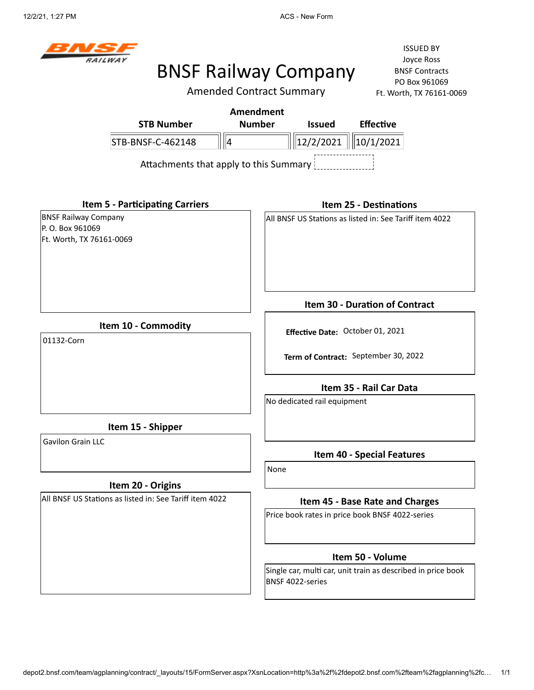

Amended Contract Summary

|                                                                            |                                                         | Alliended Contract Summary |                                  | Ft. Worth, IX 76161-0069                                     |  |
|----------------------------------------------------------------------------|---------------------------------------------------------|----------------------------|----------------------------------|--------------------------------------------------------------|--|
|                                                                            |                                                         | <b>Amendment</b>           |                                  |                                                              |  |
|                                                                            | <b>STB Number</b>                                       | <b>Number</b>              | <b>Issued</b>                    | <b>Effective</b>                                             |  |
|                                                                            | STB-BNSF-C-462148                                       | ∥4                         | 12/2/2021                        | 10/1/2021                                                    |  |
|                                                                            | Attachments that apply to this Summary                  |                            |                                  |                                                              |  |
|                                                                            | <b>Item 5 - Participating Carriers</b>                  |                            |                                  | <b>Item 25 - Destinations</b>                                |  |
| <b>BNSF Railway Company</b><br>P.O. Box 961069<br>Ft. Worth, TX 76161-0069 |                                                         |                            |                                  | All BNSF US Stations as listed in: See Tariff item 4022      |  |
|                                                                            |                                                         |                            |                                  | Item 30 - Duration of Contract                               |  |
|                                                                            | Item 10 - Commodity                                     |                            | Effective Date: October 01, 2021 |                                                              |  |
| 01132-Corn                                                                 |                                                         |                            |                                  |                                                              |  |
|                                                                            |                                                         |                            |                                  | Term of Contract: September 30, 2022                         |  |
|                                                                            |                                                         |                            |                                  | Item 35 - Rail Car Data                                      |  |
|                                                                            |                                                         |                            | No dedicated rail equipment      |                                                              |  |
|                                                                            | Item 15 - Shipper                                       |                            |                                  |                                                              |  |
| <b>Gavilon Grain LLC</b>                                                   |                                                         |                            |                                  | <b>Item 40 - Special Features</b>                            |  |
|                                                                            |                                                         | None                       |                                  |                                                              |  |
|                                                                            | Item 20 - Origins                                       |                            |                                  |                                                              |  |
|                                                                            | All BNSF US Stations as listed in: See Tariff item 4022 |                            |                                  | Item 45 - Base Rate and Charges                              |  |
|                                                                            |                                                         |                            |                                  | Price book rates in price book BNSF 4022-series              |  |
|                                                                            |                                                         |                            |                                  | Item 50 - Volume                                             |  |
|                                                                            |                                                         |                            | BNSF 4022-series                 | Single car, multi car, unit train as described in price book |  |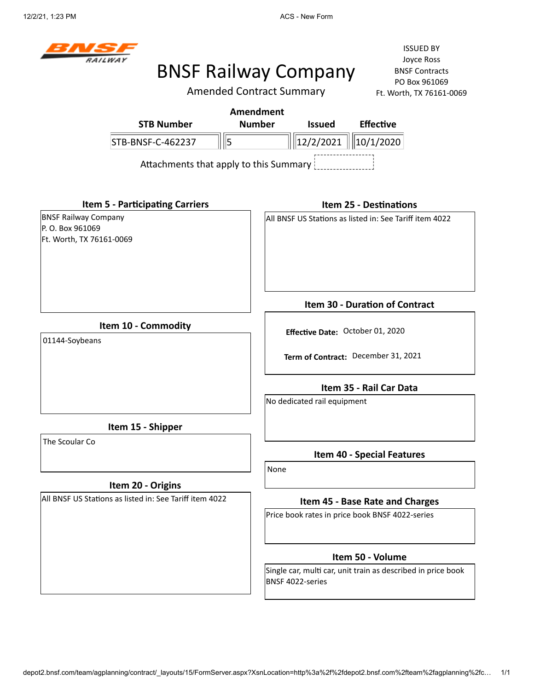

Amended Contract Summary

ISSUED BY Joyce Ross BNSF Contracts PO Box 961069 Ft. Worth, TX 76161-0069

| Amendment         |                                        |                        |                  |  |  |  |  |
|-------------------|----------------------------------------|------------------------|------------------|--|--|--|--|
| <b>STB Number</b> | <b>Number</b>                          | <b>Issued</b>          | <b>Effective</b> |  |  |  |  |
| STB-BNSF-C-462237 |                                        | 12/2/2021    10/1/2020 |                  |  |  |  |  |
|                   | Attachments that apply to this Summary |                        |                  |  |  |  |  |

**Item 5 - Participating Carriers** BNSF Railway Company P. O. Box 961069 Ft. Worth, TX 76161-0069

#### **Item 25 - Destinations**

All BNSF US Stations as listed in: See Tariff item 4022

**Item 10 - Commodity**

01144-Soybeans

**Term of Contract:** December 31, 2021

**Effective Date:** October 01, 2020

**Item 35 - Rail Car Data**

**Item 30 - Duration of Contract**

No dedicated rail equipment

**Item 15 - Shipper**

The Scoular Co

#### **Item 20 - Origins**

All BNSF US Stations as listed in: See Tariff item 4022

**Item 40 - Special Features**

None

#### **Item 45 - Base Rate and Charges**

Price book rates in price book BNSF 4022-series

#### **Item 50 - Volume**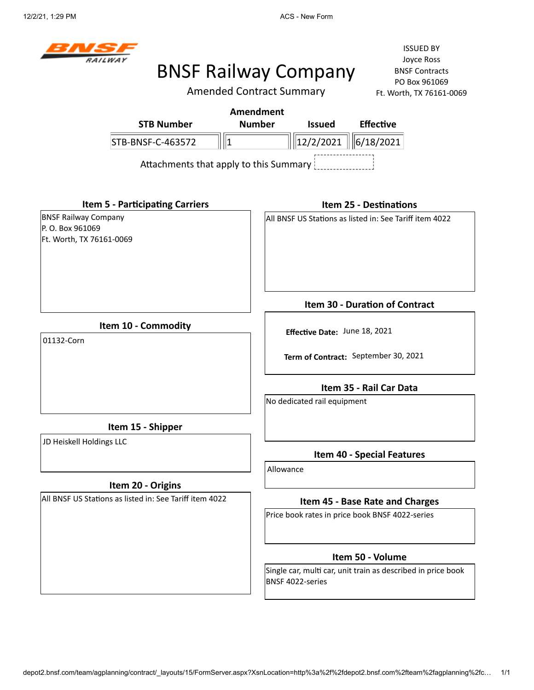

# BNSF Railway Company

ISSUED BY Joyce Ross BNSF Contracts PO Box 961069  $51 - 0069$ 

|                                                         | <b>Amended Contract Summary</b>        | Ft. Worth, TX 76161-0                                   |
|---------------------------------------------------------|----------------------------------------|---------------------------------------------------------|
|                                                         | <b>Amendment</b>                       |                                                         |
| <b>STB Number</b>                                       | <b>Number</b><br><b>Issued</b>         | <b>Effective</b>                                        |
| STB-BNSF-C-463572                                       | $\parallel$ 1                          | $\ 12/2/2021\  \ 6/18/2021\ $                           |
|                                                         | Attachments that apply to this Summary |                                                         |
| <b>Item 5 - Participating Carriers</b>                  |                                        | <b>Item 25 - Destinations</b>                           |
| <b>BNSF Railway Company</b>                             |                                        | All BNSF US Stations as listed in: See Tariff item 4022 |
| P. O. Box 961069                                        |                                        |                                                         |
| Ft. Worth, TX 76161-0069                                |                                        |                                                         |
|                                                         |                                        | Item 30 - Duration of Contract                          |
| Item 10 - Commodity                                     | Effective Date: June 18, 2021          |                                                         |
| 01132-Corn                                              |                                        |                                                         |
|                                                         |                                        | Term of Contract: September 30, 2021                    |
|                                                         |                                        | Item 35 - Rail Car Data                                 |
|                                                         | No dedicated rail equipment            |                                                         |
| Item 15 - Shipper                                       |                                        |                                                         |
| JD Heiskell Holdings LLC                                |                                        |                                                         |
|                                                         |                                        | <b>Item 40 - Special Features</b>                       |
|                                                         | Allowance                              |                                                         |
| Item 20 - Origins                                       |                                        |                                                         |
| All BNSF US Stations as listed in: See Tariff item 4022 |                                        | Item 45 - Base Rate and Charges                         |
|                                                         |                                        | Price book rates in price book BNSF 4022-series         |
|                                                         |                                        | H                                                       |

**Item 50 - Volume** Single car, multi car, unit train as described in price book BNSF 4022-series

depot2.bnsf.com/team/agplanning/contract/\_layouts/15/FormServer.aspx?XsnLocation=http%3a%2f%2fdepot2.bnsf.com%2fteam%2fagplanning%2fc… 1/1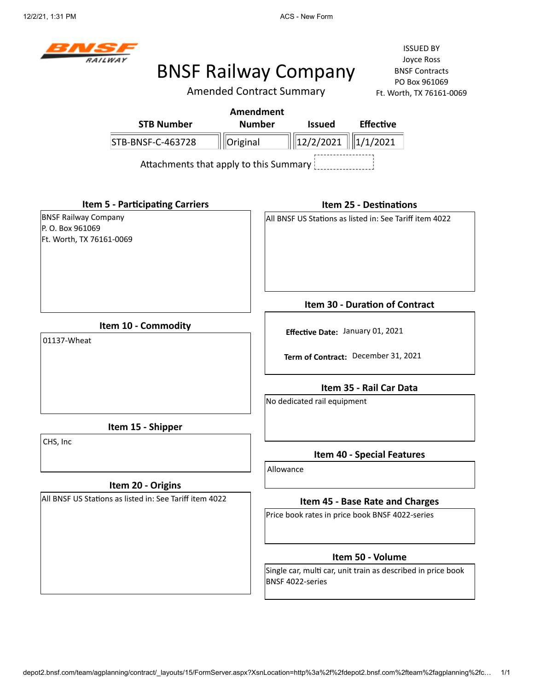

Amended Contract Summary

|                                                                            |                                                         | <b>Amendment</b> |                                                                         |                             |                                                              |  |
|----------------------------------------------------------------------------|---------------------------------------------------------|------------------|-------------------------------------------------------------------------|-----------------------------|--------------------------------------------------------------|--|
|                                                                            | <b>STB Number</b>                                       | <b>Number</b>    |                                                                         | <b>Issued</b>               | <b>Effective</b>                                             |  |
|                                                                            | STB-BNSF-C-463728                                       | Original         |                                                                         | 12/2/2021                   | 1/1/2021                                                     |  |
|                                                                            | Attachments that apply to this Summary                  |                  |                                                                         |                             |                                                              |  |
|                                                                            | <b>Item 5 - Participating Carriers</b>                  |                  |                                                                         |                             | <b>Item 25 - Destinations</b>                                |  |
| <b>BNSF Railway Company</b><br>P.O. Box 961069<br>Ft. Worth, TX 76161-0069 |                                                         |                  |                                                                         |                             | All BNSF US Stations as listed in: See Tariff item 4022      |  |
|                                                                            |                                                         |                  |                                                                         |                             | <b>Item 30 - Duration of Contract</b>                        |  |
| Item 10 - Commodity<br>01137-Wheat                                         |                                                         |                  |                                                                         |                             |                                                              |  |
|                                                                            |                                                         |                  | Effective Date: January 01, 2021<br>Term of Contract: December 31, 2021 |                             |                                                              |  |
|                                                                            |                                                         |                  |                                                                         |                             |                                                              |  |
|                                                                            |                                                         |                  |                                                                         |                             | Item 35 - Rail Car Data                                      |  |
|                                                                            |                                                         |                  |                                                                         | No dedicated rail equipment |                                                              |  |
|                                                                            | Item 15 - Shipper                                       |                  |                                                                         |                             |                                                              |  |
| CHS, Inc                                                                   |                                                         |                  |                                                                         |                             | <b>Item 40 - Special Features</b>                            |  |
|                                                                            |                                                         |                  | Allowance                                                               |                             |                                                              |  |
|                                                                            | Item 20 - Origins                                       |                  |                                                                         |                             |                                                              |  |
|                                                                            | All BNSF US Stations as listed in: See Tariff item 4022 |                  |                                                                         |                             | Item 45 - Base Rate and Charges                              |  |
|                                                                            |                                                         |                  |                                                                         |                             | Price book rates in price book BNSF 4022-series              |  |
|                                                                            |                                                         |                  |                                                                         |                             | Item 50 - Volume                                             |  |
|                                                                            |                                                         |                  |                                                                         | BNSF 4022-series            | Single car, multi car, unit train as described in price book |  |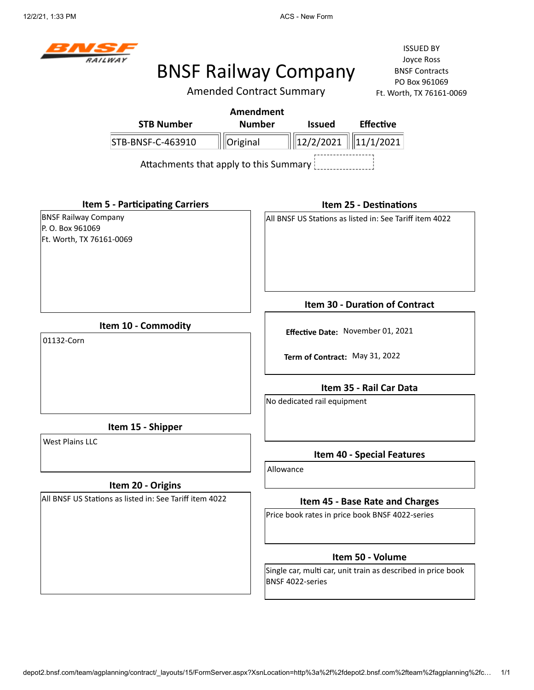

Amended Contract Summary

|                                                                              |                                        | <b>Amendment</b> |           |                                |                                                                                    |
|------------------------------------------------------------------------------|----------------------------------------|------------------|-----------|--------------------------------|------------------------------------------------------------------------------------|
|                                                                              | <b>STB Number</b>                      | <b>Number</b>    |           | <b>Issued</b>                  | <b>Effective</b>                                                                   |
|                                                                              | STB-BNSF-C-463910                      | Original         |           | 12/2/2021                      | $\ 11/1/2021$                                                                      |
|                                                                              | Attachments that apply to this Summary |                  |           |                                |                                                                                    |
| <b>Item 5 - Participating Carriers</b>                                       |                                        |                  |           |                                | <b>Item 25 - Destinations</b>                                                      |
| <b>BNSF Railway Company</b><br>P.O. Box 961069<br>Ft. Worth, TX 76161-0069   |                                        |                  |           |                                | All BNSF US Stations as listed in: See Tariff item 4022                            |
|                                                                              |                                        |                  |           |                                | Item 30 - Duration of Contract                                                     |
| Item 10 - Commodity<br>01132-Corn                                            |                                        |                  |           |                                | Effective Date: November 01, 2021                                                  |
|                                                                              |                                        |                  |           | Term of Contract: May 31, 2022 |                                                                                    |
|                                                                              |                                        |                  |           |                                | Item 35 - Rail Car Data                                                            |
|                                                                              |                                        |                  |           | No dedicated rail equipment    |                                                                                    |
| Item 15 - Shipper                                                            |                                        |                  |           |                                |                                                                                    |
| <b>West Plains LLC</b>                                                       |                                        |                  |           |                                | <b>Item 40 - Special Features</b>                                                  |
|                                                                              |                                        |                  | Allowance |                                |                                                                                    |
| Item 20 - Origins<br>All BNSF US Stations as listed in: See Tariff item 4022 |                                        |                  |           |                                |                                                                                    |
|                                                                              |                                        |                  |           |                                | Item 45 - Base Rate and Charges<br>Price book rates in price book BNSF 4022-series |
|                                                                              |                                        |                  |           |                                |                                                                                    |
|                                                                              |                                        |                  |           |                                | Item 50 - Volume                                                                   |
|                                                                              |                                        |                  |           | BNSF 4022-series               | Single car, multi car, unit train as described in price book                       |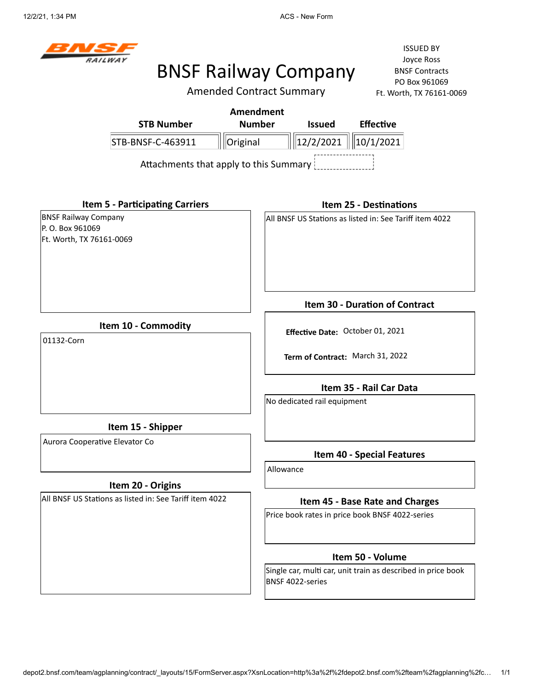

Amended Contract Summary

| <b>STB Number</b>                                                           | <b>Amendment</b><br><b>Number</b><br><b>Issued</b><br><b>Effective</b>             |
|-----------------------------------------------------------------------------|------------------------------------------------------------------------------------|
| STB-BNSF-C-463911                                                           | 12/2/2021 <br>Original<br>10/1/2021                                                |
|                                                                             | Attachments that apply to this Summary                                             |
| <b>Item 5 - Participating Carriers</b>                                      | <b>Item 25 - Destinations</b>                                                      |
| <b>BNSF Railway Company</b><br>P. O. Box 961069<br>Ft. Worth, TX 76161-0069 | All BNSF US Stations as listed in: See Tariff item 4022                            |
|                                                                             | <b>Item 30 - Duration of Contract</b>                                              |
| Item 10 - Commodity                                                         | Effective Date: October 01, 2021                                                   |
| 01132-Corn                                                                  | Term of Contract: March 31, 2022                                                   |
|                                                                             | Item 35 - Rail Car Data                                                            |
|                                                                             | No dedicated rail equipment                                                        |
| Item 15 - Shipper                                                           |                                                                                    |
| Aurora Cooperative Elevator Co                                              | <b>Item 40 - Special Features</b>                                                  |
|                                                                             | Allowance                                                                          |
| Item 20 - Origins                                                           |                                                                                    |
| All BNSF US Stations as listed in: See Tariff item 4022                     | Item 45 - Base Rate and Charges<br>Price book rates in price book BNSF 4022-series |
|                                                                             |                                                                                    |
|                                                                             | Item 50 - Volume                                                                   |
|                                                                             | Single car, multi car, unit train as described in price book<br>BNSF 4022-series   |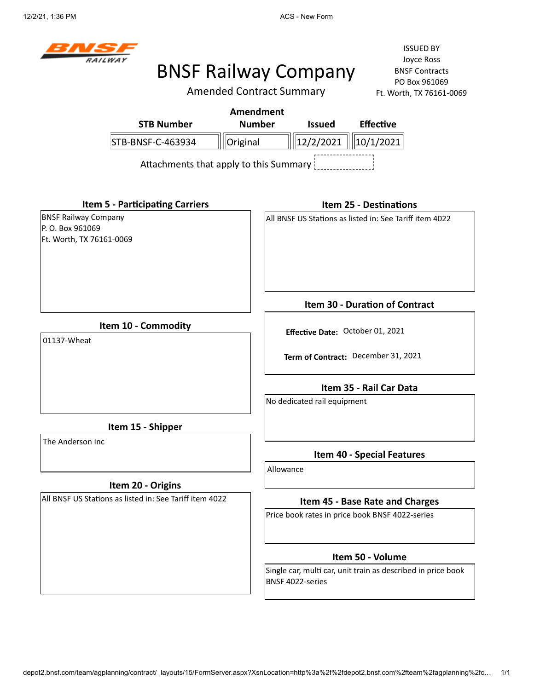

Amended Contract Summary

|                                                                             |                                        | <b>Amendment</b> |           |                                  |                                                              |
|-----------------------------------------------------------------------------|----------------------------------------|------------------|-----------|----------------------------------|--------------------------------------------------------------|
|                                                                             | <b>STB Number</b>                      | <b>Number</b>    |           | <b>Issued</b>                    | <b>Effective</b>                                             |
|                                                                             | STB-BNSF-C-463934                      | Original         |           | 12/2/2021     10/1/2021          |                                                              |
|                                                                             | Attachments that apply to this Summary |                  |           |                                  |                                                              |
|                                                                             | <b>Item 5 - Participating Carriers</b> |                  |           |                                  | <b>Item 25 - Destinations</b>                                |
| <b>BNSF Railway Company</b><br>P. O. Box 961069<br>Ft. Worth, TX 76161-0069 |                                        |                  |           |                                  | All BNSF US Stations as listed in: See Tariff item 4022      |
|                                                                             |                                        |                  |           |                                  | <b>Item 30 - Duration of Contract</b>                        |
| Item 10 - Commodity<br>01137-Wheat                                          |                                        |                  |           | Effective Date: October 01, 2021 |                                                              |
|                                                                             |                                        |                  |           |                                  | Term of Contract: December 31, 2021                          |
|                                                                             |                                        |                  |           |                                  | Item 35 - Rail Car Data                                      |
|                                                                             |                                        |                  |           | No dedicated rail equipment      |                                                              |
|                                                                             | Item 15 - Shipper                      |                  |           |                                  |                                                              |
| The Anderson Inc                                                            |                                        |                  |           |                                  | <b>Item 40 - Special Features</b>                            |
|                                                                             |                                        |                  | Allowance |                                  |                                                              |
| All BNSF US Stations as listed in: See Tariff item 4022                     | Item 20 - Origins                      |                  |           |                                  | Item 45 - Base Rate and Charges                              |
|                                                                             |                                        |                  |           |                                  | Price book rates in price book BNSF 4022-series              |
|                                                                             |                                        |                  |           |                                  | Item 50 - Volume                                             |
|                                                                             |                                        |                  |           | BNSF 4022-series                 | Single car, multi car, unit train as described in price book |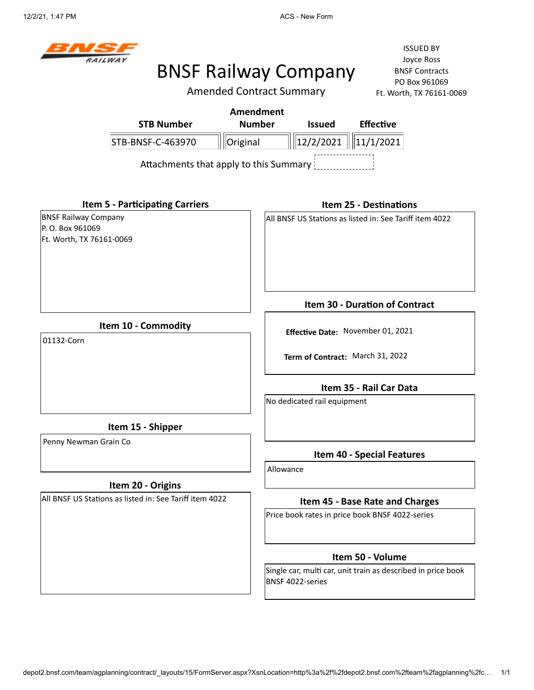

Amended Contract Summary

ISSUED BY Joyce Ross BNSF Contracts PO Box 961069 Ft. Worth, TX 76161-0069

| <b>STB Number</b>                                                           | <b>Amendment</b><br><b>Number</b><br><b>Issued</b><br><b>Effective</b>           |
|-----------------------------------------------------------------------------|----------------------------------------------------------------------------------|
| STB-BNSF-C-463970                                                           | $\ 12/2/2021\ $<br>Original<br>11/1/2021                                         |
|                                                                             | Attachments that apply to this Summary                                           |
| <b>Item 5 - Participating Carriers</b>                                      | <b>Item 25 - Destinations</b>                                                    |
| <b>BNSF Railway Company</b><br>P. O. Box 961069<br>Ft. Worth, TX 76161-0069 | All BNSF US Stations as listed in: See Tariff item 4022                          |
|                                                                             | <b>Item 30 - Duration of Contract</b>                                            |
| Item 10 - Commodity                                                         | Effective Date: November 01, 2021                                                |
| 01132-Corn                                                                  | Term of Contract: March 31, 2022                                                 |
|                                                                             | Item 35 - Rail Car Data                                                          |
|                                                                             | No dedicated rail equipment                                                      |
| Item 15 - Shipper                                                           |                                                                                  |
| Penny Newman Grain Co                                                       | <b>Item 40 - Special Features</b>                                                |
|                                                                             | Allowance                                                                        |
| Item 20 - Origins                                                           |                                                                                  |
| All BNSF US Stations as listed in: See Tariff item 4022                     | Item 45 - Base Rate and Charges                                                  |
|                                                                             | Price book rates in price book BNSF 4022-series                                  |
|                                                                             | Item 50 - Volume                                                                 |
|                                                                             | Single car, multi car, unit train as described in price book<br>BNSF 4022-series |

depot2.bnsf.com/team/agplanning/contract/\_layouts/15/FormServer.aspx?XsnLocation=http%3a%2f%2fdepot2.bnsf.com%2fteam%2fagplanning%2fc… 1/1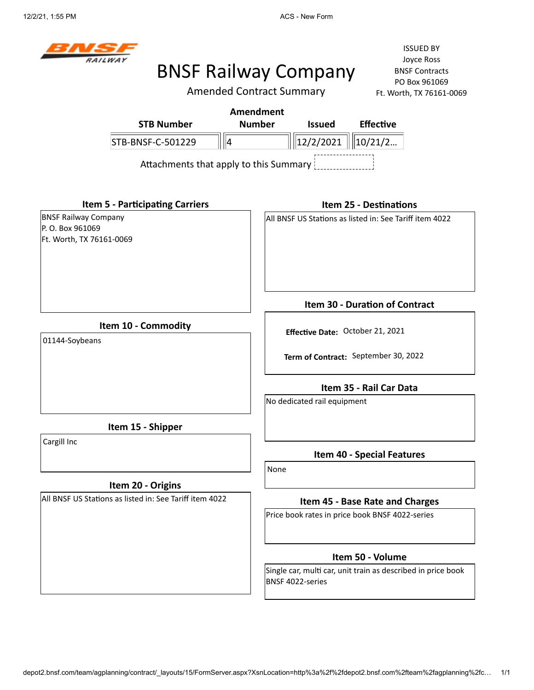

# BNSF Railway Company

Amended Co

ISSUED BY Joyce Ross BNSF Contracts PO Box 961069 069

|                                                                             | Amended Contract Summary               |                                  |                                                              | Ft. Worth, TX 76161-0069 |
|-----------------------------------------------------------------------------|----------------------------------------|----------------------------------|--------------------------------------------------------------|--------------------------|
|                                                                             | <b>Amendment</b>                       |                                  |                                                              |                          |
| <b>STB Number</b>                                                           | <b>Number</b>                          | <b>Issued</b>                    | <b>Effective</b>                                             |                          |
| STB-BNSF-C-501229                                                           | $\parallel$ 4                          | 12/2/2021                        | 10/21/2                                                      |                          |
|                                                                             | Attachments that apply to this Summary |                                  |                                                              |                          |
| <b>Item 5 - Participating Carriers</b>                                      |                                        |                                  | <b>Item 25 - Destinations</b>                                |                          |
| <b>BNSF Railway Company</b><br>P. O. Box 961069<br>Ft. Worth, TX 76161-0069 |                                        |                                  | All BNSF US Stations as listed in: See Tariff item 4022      |                          |
|                                                                             |                                        |                                  | <b>Item 30 - Duration of Contract</b>                        |                          |
| Item 10 - Commodity                                                         |                                        | Effective Date: October 21, 2021 |                                                              |                          |
| 01144-Soybeans                                                              |                                        |                                  |                                                              |                          |
|                                                                             |                                        |                                  | Term of Contract: September 30, 2022                         |                          |
|                                                                             |                                        |                                  | Item 35 - Rail Car Data                                      |                          |
|                                                                             |                                        | No dedicated rail equipment      |                                                              |                          |
| Item 15 - Shipper                                                           |                                        |                                  |                                                              |                          |
| Cargill Inc                                                                 |                                        |                                  | <b>Item 40 - Special Features</b>                            |                          |
|                                                                             | None                                   |                                  |                                                              |                          |
| Item 20 - Origins                                                           |                                        |                                  |                                                              |                          |
| All BNSF US Stations as listed in: See Tariff item 4022                     |                                        |                                  | Item 45 - Base Rate and Charges                              |                          |
|                                                                             |                                        |                                  | Price book rates in price book BNSF 4022-series              |                          |
|                                                                             |                                        |                                  | Item 50 - Volume                                             |                          |
|                                                                             |                                        | BNSF 4022-series                 | Single car, multi car, unit train as described in price book |                          |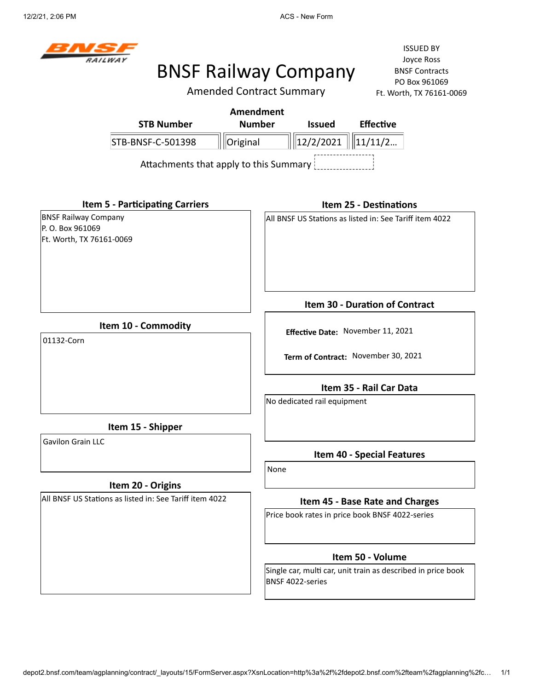12/2/21, 2:06 PM **ACS** - New Form



# BNSF Railway Company

Amended Contract Summary

|                                                                             |                                        | <b>Amendment</b> |                                                                |                  |                                                         |                                                              |  |
|-----------------------------------------------------------------------------|----------------------------------------|------------------|----------------------------------------------------------------|------------------|---------------------------------------------------------|--------------------------------------------------------------|--|
|                                                                             | <b>STB Number</b>                      | <b>Number</b>    |                                                                | <b>Issued</b>    | <b>Effective</b>                                        |                                                              |  |
| STB-BNSF-C-501398                                                           |                                        | Original         |                                                                | 12/2/2021        | $\ 11/11/2$                                             |                                                              |  |
|                                                                             | Attachments that apply to this Summary |                  |                                                                |                  |                                                         |                                                              |  |
| <b>Item 5 - Participating Carriers</b>                                      |                                        |                  |                                                                |                  | <b>Item 25 - Destinations</b>                           |                                                              |  |
| <b>BNSF Railway Company</b><br>P. O. Box 961069<br>Ft. Worth, TX 76161-0069 |                                        |                  |                                                                |                  | All BNSF US Stations as listed in: See Tariff item 4022 |                                                              |  |
|                                                                             |                                        |                  | Item 30 - Duration of Contract                                 |                  |                                                         |                                                              |  |
| Item 10 - Commodity<br>01132-Corn                                           |                                        |                  | Effective Date: November 11, 2021                              |                  |                                                         |                                                              |  |
|                                                                             |                                        |                  | Term of Contract: November 30, 2021<br>Item 35 - Rail Car Data |                  |                                                         |                                                              |  |
|                                                                             |                                        |                  |                                                                |                  |                                                         |                                                              |  |
|                                                                             |                                        |                  | No dedicated rail equipment                                    |                  |                                                         |                                                              |  |
| Item 15 - Shipper                                                           |                                        |                  |                                                                |                  |                                                         |                                                              |  |
| <b>Gavilon Grain LLC</b>                                                    |                                        |                  |                                                                |                  | <b>Item 40 - Special Features</b>                       |                                                              |  |
|                                                                             |                                        |                  | None                                                           |                  |                                                         |                                                              |  |
| Item 20 - Origins                                                           |                                        |                  |                                                                |                  |                                                         |                                                              |  |
| All BNSF US Stations as listed in: See Tariff item 4022                     |                                        |                  | Item 45 - Base Rate and Charges                                |                  |                                                         |                                                              |  |
|                                                                             |                                        |                  |                                                                |                  | Price book rates in price book BNSF 4022-series         |                                                              |  |
|                                                                             |                                        |                  |                                                                |                  | Item 50 - Volume                                        |                                                              |  |
|                                                                             |                                        |                  |                                                                | BNSF 4022-series |                                                         | Single car, multi car, unit train as described in price book |  |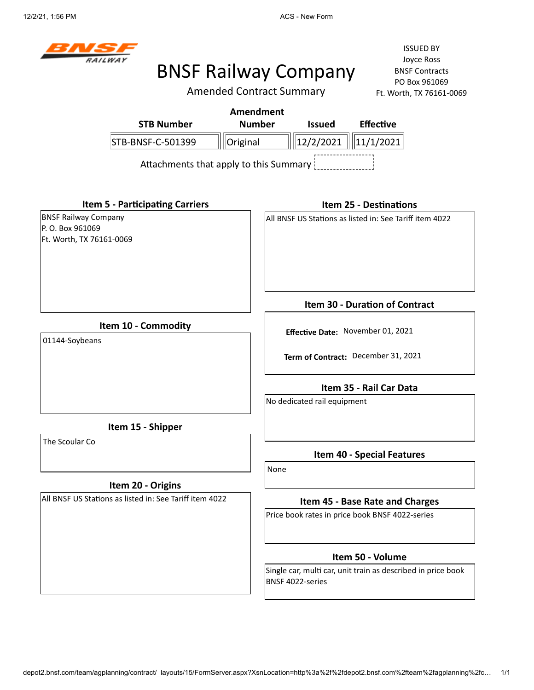12/2/21, 1:56 PM **ACS** - New Form



# BNSF Railway Company

Amended Contract Summary

|                                                                            | <b>STB Number</b>                                       | <b>Amendment</b><br><b>Number</b> |                                                        | <b>Issued</b>                 | <b>Effective</b>                                             |  |  |
|----------------------------------------------------------------------------|---------------------------------------------------------|-----------------------------------|--------------------------------------------------------|-------------------------------|--------------------------------------------------------------|--|--|
|                                                                            | STB-BNSF-C-501399                                       | Original                          |                                                        | $\ 12/2/2021\  \ 11/1/2021\ $ |                                                              |  |  |
|                                                                            | Attachments that apply to this Summary                  |                                   |                                                        |                               |                                                              |  |  |
|                                                                            | <b>Item 5 - Participating Carriers</b>                  |                                   |                                                        |                               | <b>Item 25 - Destinations</b>                                |  |  |
| <b>BNSF Railway Company</b><br>P.O. Box 961069<br>Ft. Worth, TX 76161-0069 |                                                         |                                   |                                                        |                               | All BNSF US Stations as listed in: See Tariff item 4022      |  |  |
|                                                                            |                                                         |                                   |                                                        |                               | Item 30 - Duration of Contract                               |  |  |
| Item 10 - Commodity<br>01144-Soybeans                                      |                                                         |                                   | Effective Date: November 01, 2021                      |                               |                                                              |  |  |
|                                                                            |                                                         |                                   |                                                        |                               | Term of Contract: December 31, 2021                          |  |  |
|                                                                            |                                                         |                                   | Item 35 - Rail Car Data<br>No dedicated rail equipment |                               |                                                              |  |  |
|                                                                            | Item 15 - Shipper                                       |                                   |                                                        |                               |                                                              |  |  |
| The Scoular Co                                                             |                                                         |                                   |                                                        |                               | <b>Item 40 - Special Features</b>                            |  |  |
|                                                                            | Item 20 - Origins                                       |                                   | None                                                   |                               |                                                              |  |  |
|                                                                            | All BNSF US Stations as listed in: See Tariff item 4022 |                                   |                                                        |                               | Item 45 - Base Rate and Charges                              |  |  |
|                                                                            |                                                         |                                   |                                                        |                               | Price book rates in price book BNSF 4022-series              |  |  |
|                                                                            |                                                         |                                   |                                                        |                               | Item 50 - Volume                                             |  |  |
|                                                                            |                                                         |                                   |                                                        | BNSF 4022-series              | Single car, multi car, unit train as described in price book |  |  |